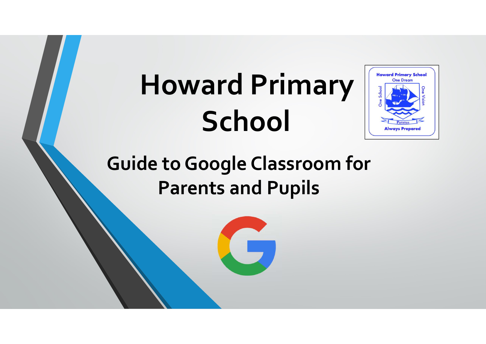# Howard Primary **School**



Guide to Google Classroom for Parents and Pupils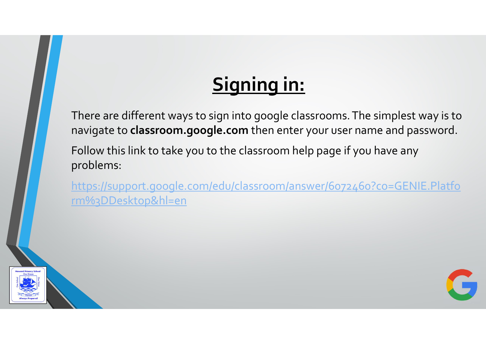# Signing in:

There are different ways to sign into google classrooms. The simplest way is to navigate to classroom.google.com then enter your user name and password.

Follow this link to take you to the classroom help page if you have any problems:

https://support.google.com/edu/classroom/answer/6072460?co=GENIE.Platfo rm%3DDesktop&hl=en



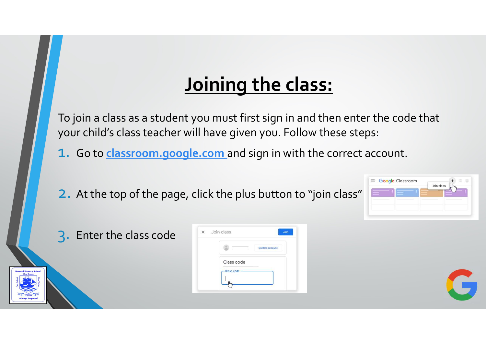# Joining the class:

To join a class as a student you must first sign in and then enter the code that your child's class teacher will have given you. Follow these steps: 1. Go to class as a student you must first sign in and then enter the code that<br>your child's class teacher will have given you. Follow these steps:<br>1. Go to <u>classroom.google.com</u> and sign in with the correct account.<br>2. A

2. At the top of the page, click the plus button to "join class"

|  | Join class |  |
|--|------------|--|
|  |            |  |
|  |            |  |
|  |            |  |

3. Enter the class code

|               | Switch account |
|---------------|----------------|
| Class code    |                |
| -Class code - |                |

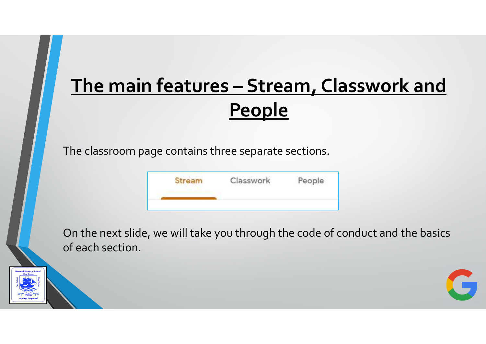# The main features – Stream, Classwork and **People**

The classroom page contains three separate sections.

| Stream<br>Selected the Section State of | Classwork | People |
|-----------------------------------------|-----------|--------|
|                                         |           |        |

On the next slide, we will take you through the code of conduct and the basics of each section.



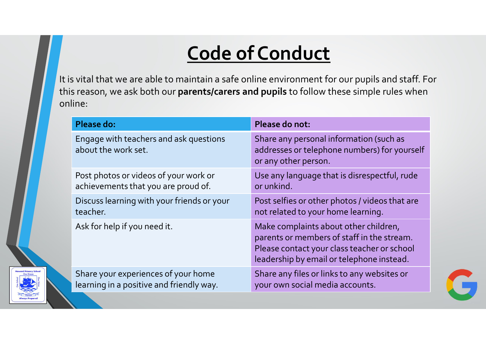# Code of Conduct

| <b>Code of Conduct</b>                                                                                 |                                                                                                                                                                                 |  |  |  |  |  |
|--------------------------------------------------------------------------------------------------------|---------------------------------------------------------------------------------------------------------------------------------------------------------------------------------|--|--|--|--|--|
| is reason, we ask both our <b>parents/carers and pupils</b> to follow these simple rules when<br>line: | s vital that we are able to maintain a safe online environment for our pupils and staff. For                                                                                    |  |  |  |  |  |
| <b>Please do:</b>                                                                                      | Please do not:                                                                                                                                                                  |  |  |  |  |  |
| Engage with teachers and ask questions<br>about the work set.                                          | Share any personal information (such as<br>addresses or telephone numbers) for yourself<br>or any other person.                                                                 |  |  |  |  |  |
| Post photos or videos of your work or<br>achievements that you are proud of.                           | Use any language that is disrespectful, rude<br>or unkind.                                                                                                                      |  |  |  |  |  |
| Discuss learning with your friends or your<br>teacher.                                                 | Post selfies or other photos / videos that are<br>not related to your home learning.                                                                                            |  |  |  |  |  |
| Ask for help if you need it.                                                                           | Make complaints about other children,<br>parents or members of staff in the stream.<br>Please contact your class teacher or school<br>leadership by email or telephone instead. |  |  |  |  |  |
|                                                                                                        |                                                                                                                                                                                 |  |  |  |  |  |

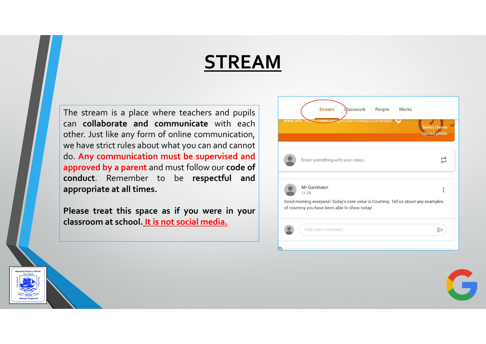#### STREAM

**STREAM**<br>The stream is a place where teachers and pupils<br>can collaborate and communicate with each<br>other. Just like any form of online communication,<br>we have strict rules about what you can and cannot<br>approved by a parent **STREAM**<br>The stream is a place where teachers and pupils<br>can collaborate and communicate with each strict rules about what you can and cannot<br>we have strict rules about what you can and cannot<br>do. Any communication must be **STREAM**<br>
The stream is a place where teachers and pupils<br>
can collaborate and communicate with each<br>
other. Just like any form of online communication,<br>
we have strict rules about what you can and cannot<br>
do. Any communic



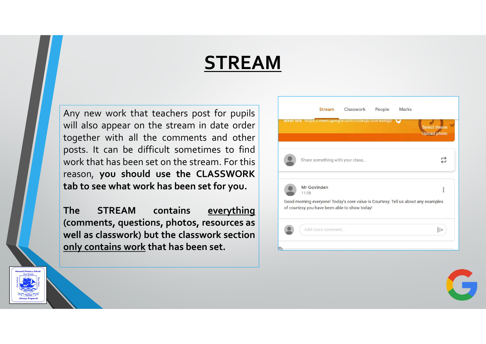#### STREAM

**STREAM**<br>Any new work that teachers post for pupils<br>will also appear on the stream in date order<br>together with all the comments and other<br>posts. It can be difficult sometimes to find<br>work that has been set on the stream. F **STREAM**<br>Any new work that teachers post for pupils<br>will also appear on the stream in date order<br>together with all the comments and other<br>posts. It can be difficult sometimes to find<br>work that has been set on the stream. F **STREAM**<br>Any new work that teachers post for pupils<br>will also appear on the stream in date order<br>together with all the comments and other<br>posts. It can be difficult sometimes to find<br>work that has been set on the stream. F **STREAM**<br>Any new work that teachers post for pupils<br>will also appear on the stream in date order<br>together with all the comments and other<br>work. It can be difficult sometimes to find<br>work that has been set on the stream. Fo

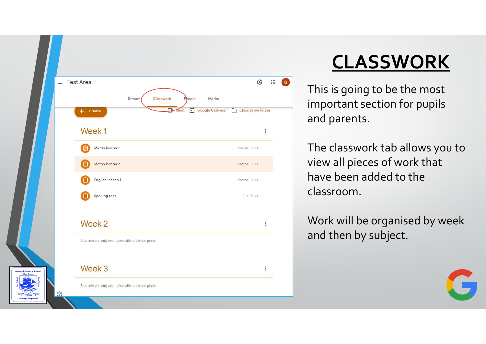

# CLASSWORK

This is going to be the most important section for pupils and parents.

The classwork tab allows you to view all pieces of work that have been added to the classroom.

Work will be organised by week and then by subject.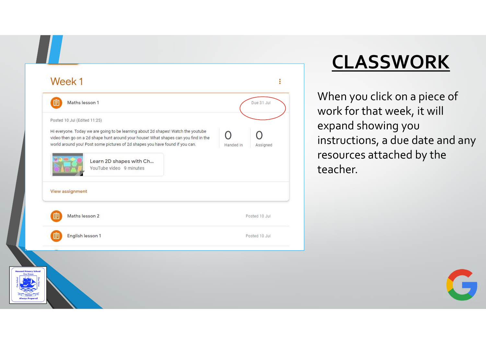| Maths lesson 1                                                                                                                                                                                                                                                                                                                                 | Due 31-Jul            |
|------------------------------------------------------------------------------------------------------------------------------------------------------------------------------------------------------------------------------------------------------------------------------------------------------------------------------------------------|-----------------------|
| Posted 10 Jul (Edited 11:25)<br>Hi everyone. Today we are going to be learning about 2d shapes! Watch the youtube<br>video then go on a 2d shape hunt around your house! What shapes can you find in the<br>world around you! Post some pictures of 2d shapes you have found if you can.<br>Learn 2D shapes with Ch<br>YouTube video 9 minutes | Handed in<br>Assigned |
| <b>View assignment</b><br>Maths lesson 2                                                                                                                                                                                                                                                                                                       | Posted 10 Jul         |
| English lesson 1                                                                                                                                                                                                                                                                                                                               | Posted 10 Jul         |

# CLASSWORK

When you click on a piece of work for that week, it will expand showing you instructions, a due date and any resources attached by the teacher.

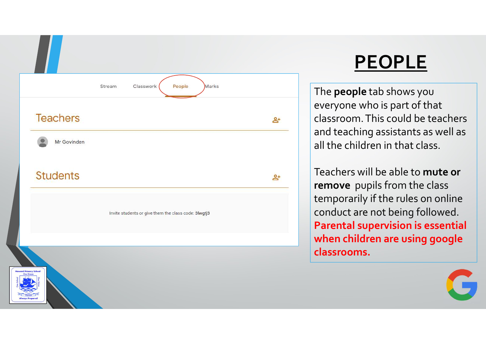

#### PEOPLE

The people tab shows you everyone who is part of that classroom. This could be teachers and teaching assistants as well as all the children in that class.

Teachers will be able to mute or remove pupils from the class temporarily if the rules on online conduct are not being followed. Parental supervision is essential when children are using google classrooms.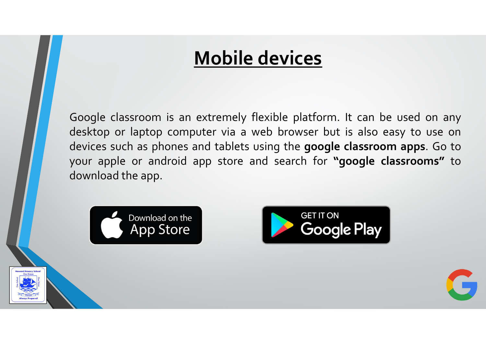#### Mobile devices

**Mobile devices**<br>Google classroom is an extremely flexible platform. It can be used on any<br>desktop or laptop computer via a web browser but is also easy to use on<br>devices such as phones and tablets using the **google classr Mobile devices**<br>Google classroom is an extremely flexible platform. It can be used on any<br>desktop or laptop computer via a web browser but is also easy to use on<br>devices such as phones and tablets using the **google classr Mobile devices**<br>Google classroom is an extremely flexible platform. It can be used on any<br>desktop or laptop computer via a web browser but is also easy to use on<br>devices such as phones and tablets using the **google classr Mobile devices**<br>
Google classroom is an extremely flexible platform. It can be used on any<br>
desktop or laptop computer via a web browser but is also easy to use on<br>
devices such as phones and tablets using the **google cla Mobile devices**<br>Google classroom is an extremely flexible platform<br>desktop or laptop computer via a web browser b<br>devices such as phones and tablets using the **goog**<br>your apple or android app store and search for<br>download